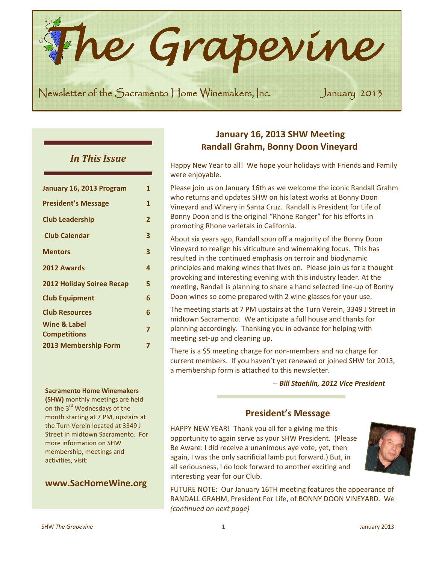*he Grapevine* 

Newsletter of the Sacramento Home Winemakers, Inc. January 2013

## *In This Issue*

**TESTER** 

| January 16, 2013 Program            | 1              |
|-------------------------------------|----------------|
| <b>President's Message</b>          | 1              |
| <b>Club Leadership</b>              | $\overline{2}$ |
| <b>Club Calendar</b>                | 3              |
| <b>Mentors</b>                      | 3              |
| 2012 Awards                         | 4              |
| <b>2012 Holiday Soiree Recap</b>    | 5              |
| <b>Club Equipment</b>               | 6              |
| <b>Club Resources</b>               | 6              |
| Wine & Label<br><b>Competitions</b> | $\overline{7}$ |
| <b>2013 Membership Form</b>         | 7              |

#### **Sacramento Home Winemakers**

**(SHW)** monthly meetings are held on the 3<sup>rd</sup> Wednesdays of the month starting at 7 PM, upstairs at the Turn Verein located at 3349 J Street in midtown Sacramento. For more information on SHW membership, meetings and activities, visit:

## **www.SacHomeWine.org**

# **January 16, 2013 SHW Meeting Randall Grahm, Bonny Doon Vineyard**

Happy New Year to all! We hope your holidays with Friends and Family were enjoyable.

Please join us on January 16th as we welcome the iconic Randall Grahm who returns and updates SHW on his latest works at Bonny Doon Vineyard and Winery in Santa Cruz. Randall is President for Life of Bonny Doon and is the original "Rhone Ranger" for his efforts in promoting Rhone varietals in California.

About six years ago, Randall spun off a majority of the Bonny Doon Vineyard to realign his viticulture and winemaking focus. This has resulted in the continued emphasis on terroir and biodynamic principles and making wines that lives on. Please join us for a thought provoking and interesting evening with this industry leader. At the meeting, Randall is planning to share a hand selected line‐up of Bonny Doon wines so come prepared with 2 wine glasses for your use.

The meeting starts at 7 PM upstairs at the Turn Verein, 3349 J Street in midtown Sacramento. We anticipate a full house and thanks for planning accordingly. Thanking you in advance for helping with meeting set-up and cleaning up.

There is a \$5 meeting charge for non‐members and no charge for current members. If you haven't yet renewed or joined SHW for 2013, a membership form is attached to this newsletter.

#### *‐‐ Bill Staehlin, 2012 Vice President*

## **President's Message**

HAPPY NEW YEAR! Thank you all for a giving me this opportunity to again serve as your SHW President. (Please Be Aware: I did receive a unanimous aye vote; yet, then again, I was the only sacrificial lamb put forward.) But, in all seriousness, I do look forward to another exciting and interesting year for our Club.



FUTURE NOTE: Our January 16TH meeting features the appearance of RANDALL GRAHM, President For Life, of BONNY DOON VINEYARD. We *(continued on next page)*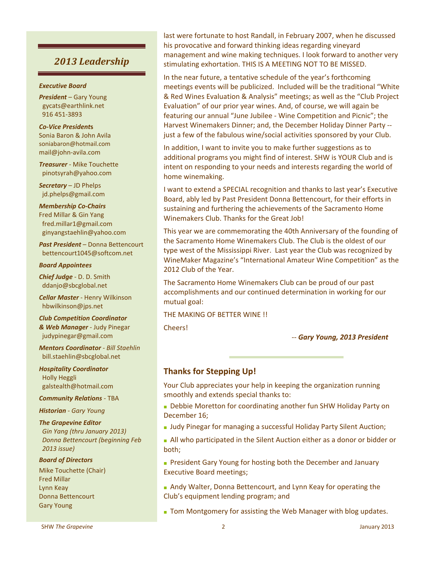# *2013 Leadership*

#### *Executive Board*

*President* – Gary Young gycats@earthlink.net 916 451‐3893

*Co‐Vice President***s** Sonia Baron & John Avila soniabaron@hotmail.com mail@john‐avila.com

*Treasurer* ‐ Mike Touchette pinotsyrah@yahoo.com

*Secretary* – JD Phelps jd.phelps@gmail.com

#### *Membership Co***‐***Chairs*

Fred Millar & Gin Yang fred.millar1@gmail.com ginyangstaehlin@yahoo.com

*Past President* – Donna Bettencourt bettencourt1045@softcom.net

#### *Board Appointees*

*Chief Judge* ‐ D. D. Smith ddanjo@sbcglobal.net

*Cellar Master* ‐ Henry Wilkinson hbwilkinson@jps.net

*Club Competition Coordinator & Web Manager ‐* Judy Pinegar judypinegar@gmail.com

*Mentors Coordinator ‐ Bill Staehlin* bill.staehlin@sbcglobal.net

*Hospitality Coordinator* Holly Heggli galstealth@hotmail.com

*Community Relations* ‐ TBA

*Historian ‐ Gary Young*

#### *The Grapevine Editor*

 *Gin Yang (thru January 2013) Donna Bettencourt (beginning Feb 2013 issue)*

#### *Board of Directors*

Mike Touchette (Chair) Fred Millar Lynn Keay Donna Bettencourt Gary Young

last were fortunate to host Randall, in February 2007, when he discussed his provocative and forward thinking ideas regarding vineyard management and wine making techniques. I look forward to another very stimulating exhortation. THIS IS A MEETING NOT TO BE MISSED.

In the near future, a tentative schedule of the year's forthcoming meetings events will be publicized. Included will be the traditional "White & Red Wines Evaluation & Analysis" meetings; as well as the "Club Project Evaluation" of our prior year wines. And, of course, we will again be featuring our annual "June Jubilee ‐ Wine Competition and Picnic"; the Harvest Winemakers Dinner; and, the December Holiday Dinner Party ‐‐ just a few of the fabulous wine/social activities sponsored by your Club.

In addition, I want to invite you to make further suggestions as to additional programs you might find of interest. SHW is YOUR Club and is intent on responding to your needs and interests regarding the world of home winemaking.

I want to extend a SPECIAL recognition and thanks to last year's Executive Board, ably led by Past President Donna Bettencourt, for their efforts in sustaining and furthering the achievements of the Sacramento Home Winemakers Club. Thanks for the Great Job!

This year we are commemorating the 40th Anniversary of the founding of the Sacramento Home Winemakers Club. The Club is the oldest of our type west of the Mississippi River. Last year the Club was recognized by WineMaker Magazine's "International Amateur Wine Competition" as the 2012 Club of the Year.

The Sacramento Home Winemakers Club can be proud of our past accomplishments and our continued determination in working for our mutual goal:

#### THE MAKING OF BETTER WINE !!

Cheers!

#### ‐‐ *Gary Young, 2013 President*

## **Thanks for Stepping Up!**

Your Club appreciates your help in keeping the organization running smoothly and extends special thanks to:

- **■** Debbie Moretton for coordinating another fun SHW Holiday Party on December 16;
- **■** Judy Pinegar for managing a successful Holiday Party Silent Auction;
- **■** All who participated in the Silent Auction either as a donor or bidder or both;
- **■** President Gary Young for hosting both the December and January Executive Board meetings;
- **■** Andy Walter, Donna Bettencourt, and Lynn Keay for operating the Club's equipment lending program; and
- **■** Tom Montgomery for assisting the Web Manager with blog updates.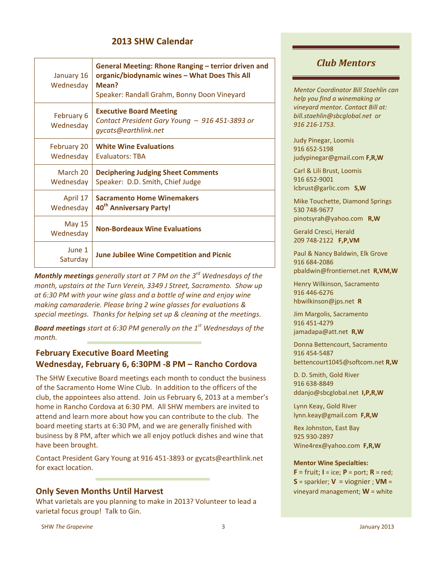# **2013 SHW Calendar**

| January 16<br>Wednesday    | General Meeting: Rhone Ranging - terrior driven and<br>organic/biodynamic wines - What Does This All<br>Mean?<br>Speaker: Randall Grahm, Bonny Doon Vineyard |
|----------------------------|--------------------------------------------------------------------------------------------------------------------------------------------------------------|
| February 6<br>Wednesday    | <b>Executive Board Meeting</b><br>Contact President Gary Young - 916 451-3893 or<br>gycats@earthlink.net                                                     |
| February 20<br>Wednesday   | <b>White Wine Evaluations</b><br><b>Evaluators: TBA</b>                                                                                                      |
| March 20<br>Wednesday      | <b>Deciphering Judging Sheet Comments</b><br>Speaker: D.D. Smith, Chief Judge                                                                                |
| April 17<br>Wednesday      | <b>Sacramento Home Winemakers</b><br>40 <sup>th</sup> Anniversary Party!                                                                                     |
| <b>May 15</b><br>Wednesday | <b>Non-Bordeaux Wine Evaluations</b>                                                                                                                         |
| June 1<br>Saturday         | <b>June Jubilee Wine Competition and Picnic</b>                                                                                                              |

*Monthly meetings generally start at 7 PM on the 3rd Wednesdays of the month, upstairs at the Turn Verein, 3349 J Street, Sacramento. Show up at 6:30 PM with your wine glass and a bottle of wine and enjoy wine making camaraderie. Please bring 2 wine glasses for evaluations & special meetings. Thanks for helping set up & cleaning at the meetings.*

*Board meetings start at 6:30 PM generally on the 1st Wednesdays of the month.*

# **February Executive Board Meeting Wednesday, February 6, 6:30PM ‐8 PM – Rancho Cordova**

The SHW Executive Board meetings each month to conduct the business of the Sacramento Home Wine Club. In addition to the officers of the club, the appointees also attend. Join us February 6, 2013 at a member's home in Rancho Cordova at 6:30 PM. All SHW members are invited to attend and learn more about how you can contribute to the club. The board meeting starts at 6:30 PM, and we are generally finished with business by 8 PM, after which we all enjoy potluck dishes and wine that have been brought.

Contact President Gary Young at 916 451‐3893 or gycats@earthlink.net for exact location.

## **Only Seven Months Until Harvest**

What varietals are you planning to make in 2013? Volunteer to lead a varietal focus group! Talk to Gin.

# *Club Mentors*

*Mentor Coordinator Bill Staehlin can help you find a winemaking or vineyard mentor. Contact Bill at: bill.staehlin@sbcglobal.net or 916 216‐1753.*

Judy Pinegar, Loomis 916 652‐5198 judypinegar@gmail.com **F,R,W**

Carl & Lili Brust, Loomis 916 652‐9001 lcbrust@garlic.com **S,W**

Mike Touchette, Diamond Springs 530 748‐9677 pinotsyrah@yahoo.com **R,W**

Gerald Cresci, Herald 209 748‐2122 **F,P,VM**

Paul & Nancy Baldwin, Elk Grove 916 684‐2086 pbaldwin@frontiernet.net **R,VM,W**

Henry Wilkinson, Sacramento 916 446‐6276 hbwilkinson@jps.net **R**

Jim Margolis, Sacramento 916 451‐4279 jamadapa@att.net **R,W**

Donna Bettencourt, Sacramento 916 454‐5487 bettencourt1045@softcom.net **R,W**

D. D. Smith, Gold River 916 638‐8849 ddanjo@sbcglobal.net **I,P,R,W**

Lynn Keay, Gold River lynn.keay@gmail.com **F,R,W**

Rex Johnston, East Bay 925 930‐2897 Wine4rex@yahoo.com **F,R,W**

#### **Mentor Wine Specialties:**

**F** = fruit; **I** = ice; **P** = port; **R** = red;  $S =$  sparkler;  $V =$  viognier;  $VM =$ vineyard management; **W** = white

SHW The Grapevine Contract Contract Contract 2013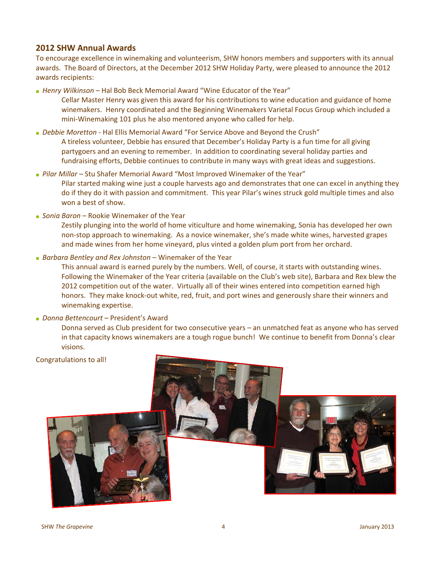## **2012 SHW Annual Awards**

To encourage excellence in winemaking and volunteerism, SHW honors members and supporters with its annual awards. The Board of Directors, at the December 2012 SHW Holiday Party, were pleased to announce the 2012 awards recipients:

**■** *Henry Wilkinson* – Hal Bob Beck Memorial Award "Wine Educator of the Year"

Cellar Master Henry was given this award for his contributions to wine education and guidance of home winemakers. Henry coordinated and the Beginning Winemakers Varietal Focus Group which included a mini‐Winemaking 101 plus he also mentored anyone who called for help.

- **■** *Debbie Moretton* ‐ Hal Ellis Memorial Award "For Service Above and Beyond the Crush" A tireless volunteer, Debbie has ensured that December's Holiday Party is a fun time for all giving partygoers and an evening to remember. In addition to coordinating several holiday parties and fundraising efforts, Debbie continues to contribute in many ways with great ideas and suggestions.
- **■** *Pilar Millar* Stu Shafer Memorial Award "Most Improved Winemaker of the Year" Pilar started making wine just a couple harvests ago and demonstrates that one can excel in anything they do if they do it with passion and commitment. This year Pilar's wines struck gold multiple times and also won a best of show.
- **■** *Sonia Baron* Rookie Winemaker of the Year

Zestily plunging into the world of home viticulture and home winemaking, Sonia has developed her own non‐stop approach to winemaking. As a novice winemaker, she's made white wines, harvested grapes and made wines from her home vineyard, plus vinted a golden plum port from her orchard.

**■** *Barbara Bentley and Rex Johnston* – Winemaker of the Year

This annual award is earned purely by the numbers. Well, of course, it starts with outstanding wines. Following the Winemaker of the Year criteria (available on the Club's web site), Barbara and Rex blew the 2012 competition out of the water. Virtually all of their wines entered into competition earned high honors. They make knock-out white, red, fruit, and port wines and generously share their winners and winemaking expertise.

**■** *Donna Bettencourt* – President's Award

Donna served as Club president for two consecutive years – an unmatched feat as anyone who has served in that capacity knows winemakers are a tough rogue bunch! We continue to benefit from Donna's clear visions.

Congratulations to all!

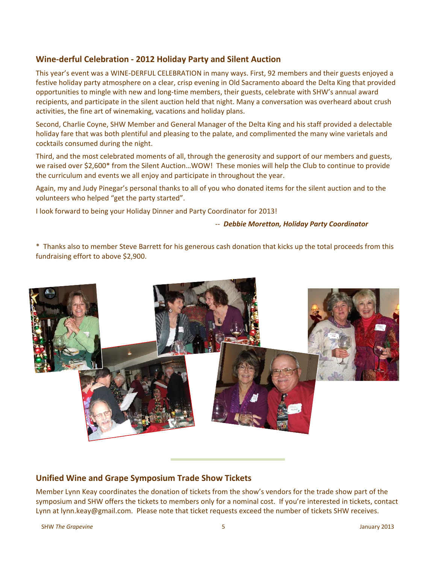## **Wine‐derful Celebration ‐ 2012 Holiday Party and Silent Auction**

This year's event was a WINE‐DERFUL CELEBRATION in many ways. First, 92 members and their guests enjoyed a festive holiday party atmosphere on a clear, crisp evening in Old Sacramento aboard the Delta King that provided opportunities to mingle with new and long‐time members, their guests, celebrate with SHW's annual award recipients, and participate in the silent auction held that night. Many a conversation was overheard about crush activities, the fine art of winemaking, vacations and holiday plans.

Second, Charlie Coyne, SHW Member and General Manager of the Delta King and his staff provided a delectable holiday fare that was both plentiful and pleasing to the palate, and complimented the many wine varietals and cocktails consumed during the night.

Third, and the most celebrated moments of all, through the generosity and support of our members and guests, we raised over \$2,600\* from the Silent Auction…WOW! These monies will help the Club to continue to provide the curriculum and events we all enjoy and participate in throughout the year.

Again, my and Judy Pinegar's personal thanks to all of you who donated items for the silent auction and to the volunteers who helped "get the party started".

I look forward to being your Holiday Dinner and Party Coordinator for 2013!

#### ‐‐ *Debbie Moretton, Holiday Party Coordinator*

\* Thanks also to member Steve Barrett for his generous cash donation that kicks up the total proceeds from this fundraising effort to above \$2,900.



## **Unified Wine and Grape Symposium Trade Show Tickets**

Member Lynn Keay coordinates the donation of tickets from the show's vendors for the trade show part of the symposium and SHW offers the tickets to members only for a nominal cost. If you're interested in tickets, contact Lynn at lynn.keay@gmail.com. Please note that ticket requests exceed the number of tickets SHW receives.

SHW The Grapevine Contract Contract Contract Contract Contract Contract Contract Contract Contract Contract Contract Contract Contract Contract Contract Contract Contract Contract Contract Contract Contract Contract Contra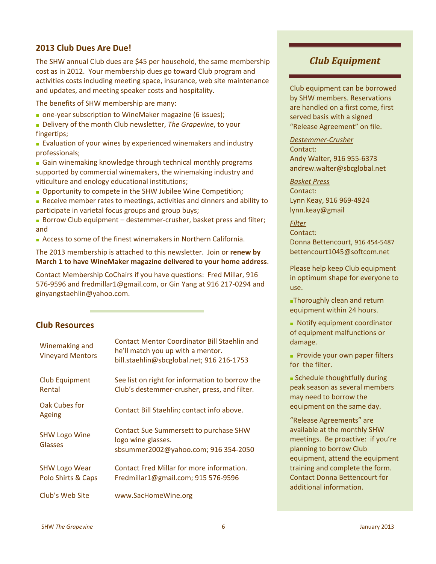## **2013 Club Dues Are Due!**

The SHW annual Club dues are \$45 per household, the same membership cost as in 2012. Your membership dues go toward Club program and activities costs including meeting space, insurance, web site maintenance and updates, and meeting speaker costs and hospitality.

The benefits of SHW membership are many:

- **one-year subscription to WineMaker magazine (6 issues);**
- Delivery of the month Club newsletter, *The Grapevine*, to your fingertips;
- **■** Evaluation of your wines by experienced winemakers and industry professionals;
- **■** Gain winemaking knowledge through technical monthly programs supported by commercial winemakers, the winemaking industry and viticulture and enology educational institutions;
- **■** Opportunity to compete in the SHW Jubilee Wine Competition;
- **■** Receive member rates to meetings, activities and dinners and ability to participate in varietal focus groups and group buys;
- Borrow Club equipment destemmer-crusher, basket press and filter; and
- **■** Access to some of the finest winemakers in Northern California.

The 2013 membership is attached to this newsletter. Join or **renew by March 1 to have WineMaker magazine delivered to your home address**.

Contact Membership CoChairs if you have questions: Fred Millar, 916 576‐9596 and fredmillar1@gmail.com, or Gin Yang at 916 217‐0294 and ginyangstaehlin@yahoo.com.

## **Club Resources**

| Winemaking and<br><b>Vineyard Mentors</b>  | <b>Contact Mentor Coordinator Bill Staehlin and</b><br>he'll match you up with a mentor.<br>bill.staehlin@sbcglobal.net; 916 216-1753 |
|--------------------------------------------|---------------------------------------------------------------------------------------------------------------------------------------|
| <b>Club Equipment</b><br>Rental            | See list on right for information to borrow the<br>Club's destemmer-crusher, press, and filter.                                       |
| Oak Cubes for<br>Ageing                    | Contact Bill Staehlin; contact info above.                                                                                            |
| <b>SHW Logo Wine</b><br>Glasses            | <b>Contact Sue Summersett to purchase SHW</b><br>logo wine glasses.<br>sbsummer2002@yahoo.com; 916 354-2050                           |
| <b>SHW Logo Wear</b><br>Polo Shirts & Caps | Contact Fred Millar for more information.<br>Fredmillar1@gmail.com; 915 576-9596                                                      |
| Club's Web Site                            | www.SacHomeWine.org                                                                                                                   |

# *Club Equipment*

Club equipment can be borrowed by SHW members. Reservations are handled on a first come, first served basis with a signed "Release Agreement" on file.

*Destemmer‐Crusher* Contact: Andy Walter, 916 955‐6373 andrew.walter@sbcglobal.net

## *Basket Press* Contact: Lynn Keay, 916 969‐4924

lynn.keay@gmail

 $F$ *ilter* Contact: Donna Bettencourt, 916 454‐5487 bettencourt1045@softcom.net

Please help keep Club equipment in optimum shape for everyone to use.

**■**Thoroughly clean and return equipment within 24 hours.

**■** Notify equipment coordinator of equipment malfunctions or damage.

**■** Provide your own paper filters for the filter.

**■** Schedule thoughtfully during peak season as several members may need to borrow the equipment on the same day.

"Release Agreements" are available at the monthly SHW meetings. Be proactive: if you're planning to borrow Club equipment, attend the equipment training and complete the form. Contact Donna Bettencourt for additional information.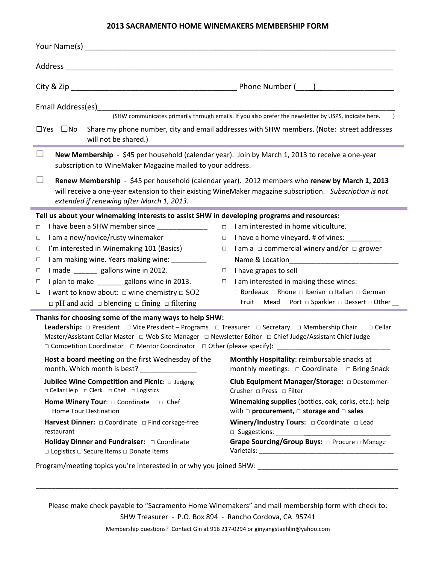#### **2013 SACRAMENTO HOME WINEMAKERS MEMBERSHIP FORM**

|                                                                                                                                                                                                                                                                                                                                                                                                                      | (SHW communicates primarily through emails. If you also prefer the newsletter by USPS, indicate here. ___ )                                                                                                |
|----------------------------------------------------------------------------------------------------------------------------------------------------------------------------------------------------------------------------------------------------------------------------------------------------------------------------------------------------------------------------------------------------------------------|------------------------------------------------------------------------------------------------------------------------------------------------------------------------------------------------------------|
| $\square$ Yes $\square$ No<br>will not be shared.)                                                                                                                                                                                                                                                                                                                                                                   | Share my phone number, city and email addresses with SHW members. (Note: street addresses                                                                                                                  |
| New Membership - \$45 per household (calendar year). Join by March 1, 2013 to receive a one-year<br>$\mathsf{L}$<br>subscription to WineMaker Magazine mailed to your address.                                                                                                                                                                                                                                       |                                                                                                                                                                                                            |
| $\Box$<br>extended if renewing after March 1, 2013.                                                                                                                                                                                                                                                                                                                                                                  | Renew Membership - \$45 per household (calendar year). 2012 members who renew by March 1, 2013<br>will receive a one-year extension to their existing WineMaker magazine subscription. Subscription is not |
| Tell us about your winemaking interests to assist SHW in developing programs and resources:                                                                                                                                                                                                                                                                                                                          |                                                                                                                                                                                                            |
| I have been a SHW member since<br>$\Box$                                                                                                                                                                                                                                                                                                                                                                             | I am interested in home viticulture.<br>$\Box$                                                                                                                                                             |
| I am a new/novice/rusty winemaker<br>$\Box$                                                                                                                                                                                                                                                                                                                                                                          | $\Box$ I have a home vineyard. # of vines: ________                                                                                                                                                        |
| I'm interested in Winemaking 101 (Basics)<br>□                                                                                                                                                                                                                                                                                                                                                                       | $\Box$ I am a $\Box$ commercial winery and/or $\Box$ grower                                                                                                                                                |
| I am making wine. Years making wine: ________<br>$\Box$                                                                                                                                                                                                                                                                                                                                                              |                                                                                                                                                                                                            |
| I made ________ gallons wine in 2012.<br>$\Box$                                                                                                                                                                                                                                                                                                                                                                      | $\Box$ I have grapes to sell                                                                                                                                                                               |
| I plan to make _______ gallons wine in 2013.<br>$\Box$                                                                                                                                                                                                                                                                                                                                                               | $\Box$ I am interested in making these wines:                                                                                                                                                              |
| I want to know about: $\Box$ wine chemistry $\Box$ SO2<br>$\Box$                                                                                                                                                                                                                                                                                                                                                     | □ Bordeaux □ Rhone □ Iberian □ Italian □ German                                                                                                                                                            |
| $\Box$ pH and acid $\Box$ blending $\Box$ fining $\Box$ filtering                                                                                                                                                                                                                                                                                                                                                    | □ Fruit □ Mead □ Port □ Sparkler □ Dessert □ Other                                                                                                                                                         |
| Thanks for choosing some of the many ways to help SHW:<br><b>Leadership:</b> $\Box$ President $\Box$ Vice President – Programs $\Box$ Treasurer $\Box$ Secretary $\Box$ Membership Chair<br>Master/Assistant Cellar Master  □ Web Site Manager □ Newsletter Editor □ Chief Judge/Assistant Chief Judge<br>□ Competition Coordinator □ Mentor Coordinator □ Other (please specify): _________________________________ | $\Box$ Cellar                                                                                                                                                                                              |
| Host a board meeting on the first Wednesday of the<br>month. Which month is best? _______________                                                                                                                                                                                                                                                                                                                    | Monthly Hospitality: reimbursable snacks at<br>monthly meetings: $\Box$ Coordinate $\Box$ Bring Snack                                                                                                      |
| Jubilee Wine Competition and Picnic: $\Box$ Judging<br>□ Cellar Help □ Clerk □ Chef □ Logistics                                                                                                                                                                                                                                                                                                                      | Club Equipment Manager/Storage: O Destemmer-<br>Crusher = Press = Filter                                                                                                                                   |
| Home Winery Tour: $\Box$ Coordinate $\Box$ Chef<br>$\Box$ Home Tour Destination                                                                                                                                                                                                                                                                                                                                      | Winemaking supplies (bottles, oak, corks, etc.): help<br>with $\square$ procurement, $\square$ storage and $\square$ sales                                                                                 |
| Harvest Dinner: $\Box$ Coordinate $\Box$ Find corkage-free<br>restaurant                                                                                                                                                                                                                                                                                                                                             | <b>Winery/Industry Tours:</b> $\Box$ Coordinate $\Box$ Lead                                                                                                                                                |
| $\Box$ Logistics $\Box$ Secure Items $\Box$ Donate Items                                                                                                                                                                                                                                                                                                                                                             | Grape Sourcing/Group Buys: $\Box$ Procure $\Box$ Manage                                                                                                                                                    |

Program/meeting topics you're interested in or why you joined SHW: \_\_\_\_\_\_\_\_\_\_\_\_\_\_\_\_\_\_\_\_\_\_\_\_\_\_\_\_\_\_\_\_\_\_\_\_

Please make check payable to "Sacramento Home Winemakers" and mail membership form with check to:

\_\_\_\_\_\_\_\_\_\_\_\_\_\_\_\_\_\_\_\_\_\_\_\_\_\_\_\_\_\_\_\_\_\_\_\_\_\_\_\_\_\_\_\_\_\_\_\_\_\_\_\_\_\_\_\_\_\_\_\_\_\_\_\_\_\_\_\_\_\_\_\_\_\_\_\_\_\_\_\_\_\_\_\_\_\_\_\_\_\_\_\_\_

SHW Treasurer - P.O. Box 894 - Rancho Cordova, CA 95741

Membership questions? Contact Gin at 916 217‐0294 or ginyangstaehlin@yahoo.com